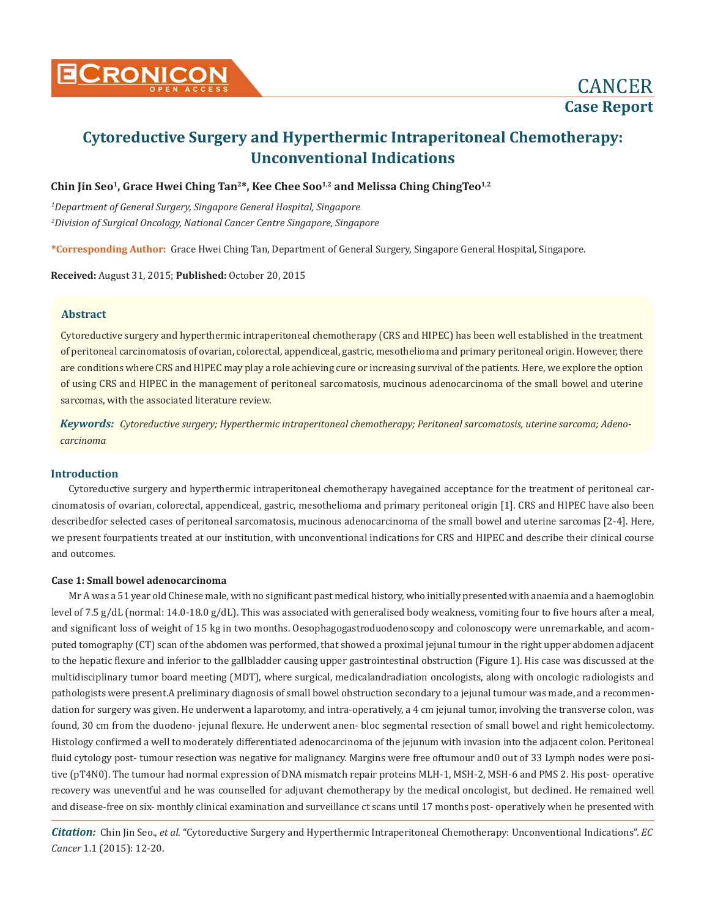



# **Chin Jin Seo1, Grace Hwei Ching Tan2\*, Kee Chee Soo1,2 and Melissa Ching ChingTeo1,2**

*1 Department of General Surgery, Singapore General Hospital, Singapore 2 Division of Surgical Oncology, National Cancer Centre Singapore, Singapore*

**\*Corresponding Author:** Grace Hwei Ching Tan, Department of General Surgery, Singapore General Hospital, Singapore.

**Received:** August 31, 2015; **Published:** October 20, 2015

## **Abstract**

Cytoreductive surgery and hyperthermic intraperitoneal chemotherapy (CRS and HIPEC) has been well established in the treatment of peritoneal carcinomatosis of ovarian, colorectal, appendiceal, gastric, mesothelioma and primary peritoneal origin. However, there are conditions where CRS and HIPEC may play a role achieving cure or increasing survival of the patients. Here, we explore the option of using CRS and HIPEC in the management of peritoneal sarcomatosis, mucinous adenocarcinoma of the small bowel and uterine sarcomas, with the associated literature review.

*Keywords: Cytoreductive surgery; Hyperthermic intraperitoneal chemotherapy; Peritoneal sarcomatosis, uterine sarcoma; Adenocarcinoma*

## **Introduction**

Cytoreductive surgery and hyperthermic intraperitoneal chemotherapy havegained acceptance for the treatment of peritoneal carcinomatosis of ovarian, colorectal, appendiceal, gastric, mesothelioma and primary peritoneal origin [1]. CRS and HIPEC have also been describedfor selected cases of peritoneal sarcomatosis, mucinous adenocarcinoma of the small bowel and uterine sarcomas [2-4]. Here, we present fourpatients treated at our institution, with unconventional indications for CRS and HIPEC and describe their clinical course and outcomes.

#### **Case 1: Small bowel adenocarcinoma**

Mr A was a 51 year old Chinese male, with no significant past medical history, who initially presented with anaemia and a haemoglobin level of 7.5 g/dL (normal: 14.0-18.0 g/dL). This was associated with generalised body weakness, vomiting four to five hours after a meal, and significant loss of weight of 15 kg in two months. Oesophagogastroduodenoscopy and colonoscopy were unremarkable, and acomputed tomography (CT) scan of the abdomen was performed, that showed a proximal jejunal tumour in the right upper abdomen adjacent to the hepatic flexure and inferior to the gallbladder causing upper gastrointestinal obstruction (Figure 1). His case was discussed at the multidisciplinary tumor board meeting (MDT), where surgical, medicalandradiation oncologists, along with oncologic radiologists and pathologists were present.A preliminary diagnosis of small bowel obstruction secondary to a jejunal tumour was made, and a recommendation for surgery was given. He underwent a laparotomy, and intra-operatively, a 4 cm jejunal tumor, involving the transverse colon, was found, 30 cm from the duodeno- jejunal flexure. He underwent anen- bloc segmental resection of small bowel and right hemicolectomy. Histology confirmed a well to moderately differentiated adenocarcinoma of the jejunum with invasion into the adjacent colon. Peritoneal fluid cytology post- tumour resection was negative for malignancy. Margins were free oftumour and0 out of 33 Lymph nodes were positive (pT4N0). The tumour had normal expression of DNA mismatch repair proteins MLH-1, MSH-2, MSH-6 and PMS 2. His post- operative recovery was uneventful and he was counselled for adjuvant chemotherapy by the medical oncologist, but declined. He remained well and disease-free on six- monthly clinical examination and surveillance ct scans until 17 months post- operatively when he presented with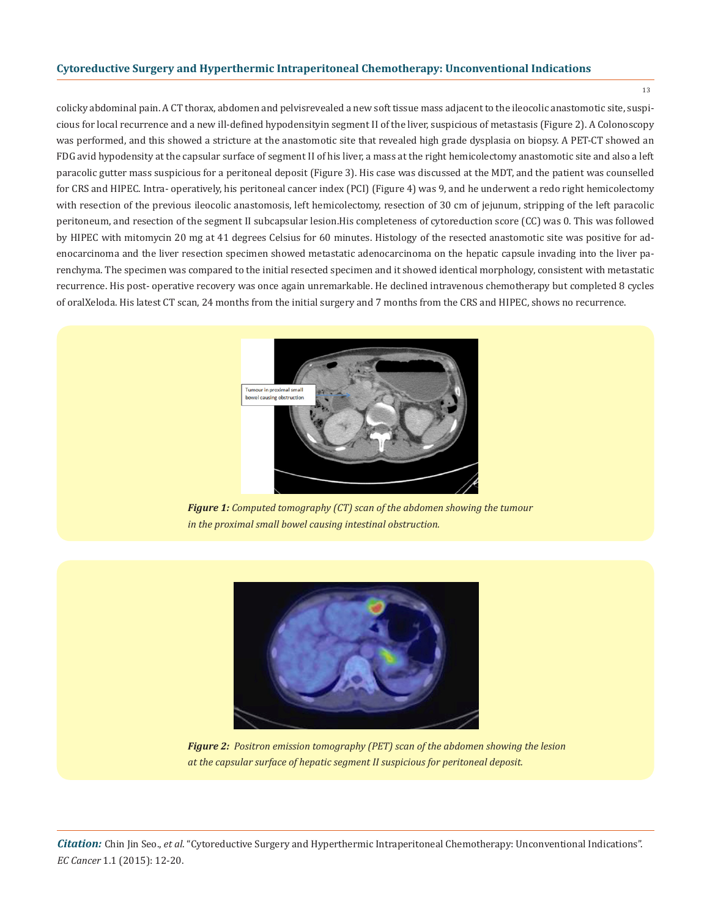13

colicky abdominal pain. A CT thorax, abdomen and pelvisrevealed a new soft tissue mass adjacent to the ileocolic anastomotic site, suspicious for local recurrence and a new ill-defined hypodensityin segment II of the liver, suspicious of metastasis (Figure 2). A Colonoscopy was performed, and this showed a stricture at the anastomotic site that revealed high grade dysplasia on biopsy. A PET-CT showed an FDG avid hypodensity at the capsular surface of segment II of his liver, a mass at the right hemicolectomy anastomotic site and also a left paracolic gutter mass suspicious for a peritoneal deposit (Figure 3). His case was discussed at the MDT, and the patient was counselled for CRS and HIPEC. Intra- operatively, his peritoneal cancer index (PCI) (Figure 4) was 9, and he underwent a redo right hemicolectomy with resection of the previous ileocolic anastomosis, left hemicolectomy, resection of 30 cm of jejunum, stripping of the left paracolic peritoneum, and resection of the segment II subcapsular lesion.His completeness of cytoreduction score (CC) was 0. This was followed by HIPEC with mitomycin 20 mg at 41 degrees Celsius for 60 minutes. Histology of the resected anastomotic site was positive for adenocarcinoma and the liver resection specimen showed metastatic adenocarcinoma on the hepatic capsule invading into the liver parenchyma. The specimen was compared to the initial resected specimen and it showed identical morphology, consistent with metastatic recurrence. His post- operative recovery was once again unremarkable. He declined intravenous chemotherapy but completed 8 cycles of oralXeloda. His latest CT scan, 24 months from the initial surgery and 7 months from the CRS and HIPEC, shows no recurrence.



*Figure 1: Computed tomography (CT) scan of the abdomen showing the tumour in the proximal small bowel causing intestinal obstruction.*



*Figure 2: Positron emission tomography (PET) scan of the abdomen showing the lesion at the capsular surface of hepatic segment II suspicious for peritoneal deposit.*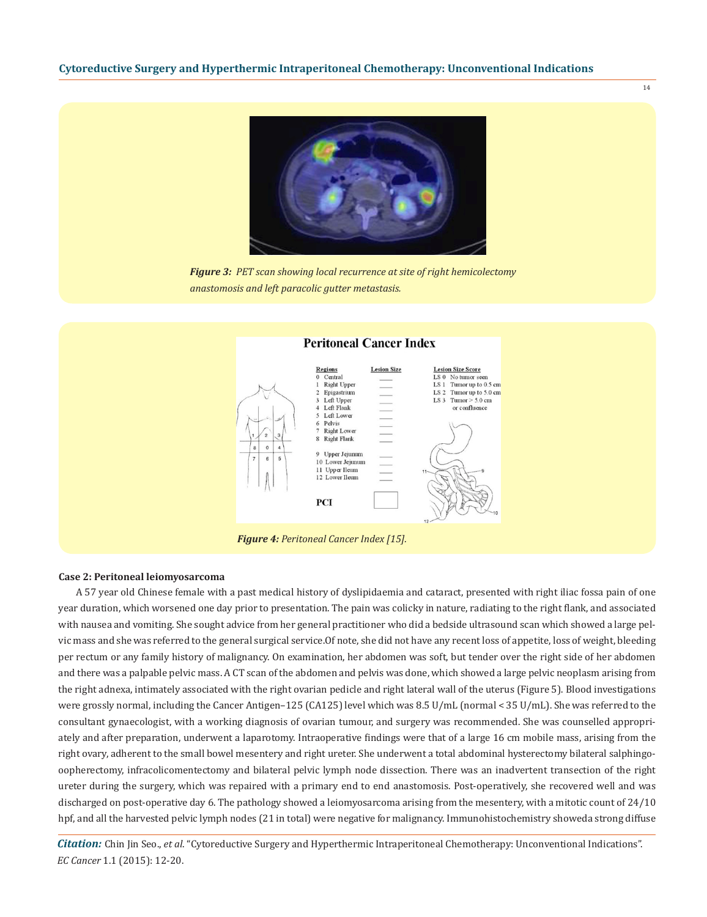

*Figure 3: PET scan showing local recurrence at site of right hemicolectomy anastomosis and left paracolic gutter metastasis.*



*Figure 4: Peritoneal Cancer Index [15].*

#### **Case 2: Peritoneal leiomyosarcoma**

A 57 year old Chinese female with a past medical history of dyslipidaemia and cataract, presented with right iliac fossa pain of one year duration, which worsened one day prior to presentation. The pain was colicky in nature, radiating to the right flank, and associated with nausea and vomiting. She sought advice from her general practitioner who did a bedside ultrasound scan which showed a large pelvic mass and she was referred to the general surgical service.Of note, she did not have any recent loss of appetite, loss of weight, bleeding per rectum or any family history of malignancy. On examination, her abdomen was soft, but tender over the right side of her abdomen and there was a palpable pelvic mass. A CT scan of the abdomen and pelvis was done, which showed a large pelvic neoplasm arising from the right adnexa, intimately associated with the right ovarian pedicle and right lateral wall of the uterus (Figure 5). Blood investigations were grossly normal, including the Cancer Antigen–125 (CA125) level which was 8.5 U/mL (normal < 35 U/mL). She was referred to the consultant gynaecologist, with a working diagnosis of ovarian tumour, and surgery was recommended. She was counselled appropriately and after preparation, underwent a laparotomy. Intraoperative findings were that of a large 16 cm mobile mass, arising from the right ovary, adherent to the small bowel mesentery and right ureter. She underwent a total abdominal hysterectomy bilateral salphingooopherectomy, infracolicomentectomy and bilateral pelvic lymph node dissection. There was an inadvertent transection of the right ureter during the surgery, which was repaired with a primary end to end anastomosis. Post-operatively, she recovered well and was discharged on post-operative day 6. The pathology showed a leiomyosarcoma arising from the mesentery, with a mitotic count of 24/10 hpf, and all the harvested pelvic lymph nodes (21 in total) were negative for malignancy. Immunohistochemistry showeda strong diffuse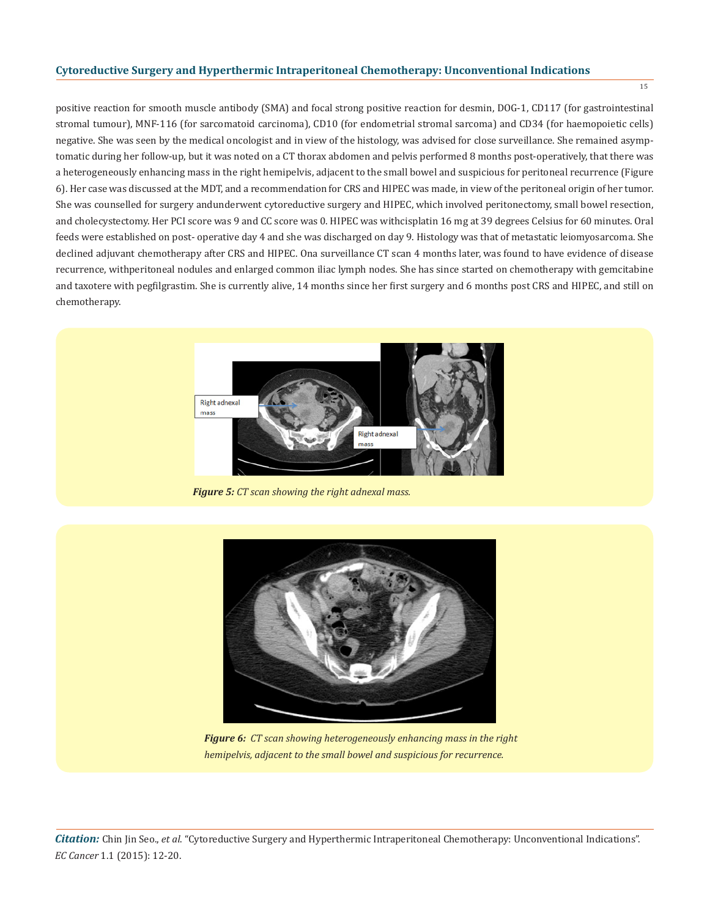positive reaction for smooth muscle antibody (SMA) and focal strong positive reaction for desmin, DOG-1, CD117 (for gastrointestinal stromal tumour), MNF-116 (for sarcomatoid carcinoma), CD10 (for endometrial stromal sarcoma) and CD34 (for haemopoietic cells) negative. She was seen by the medical oncologist and in view of the histology, was advised for close surveillance. She remained asymptomatic during her follow-up, but it was noted on a CT thorax abdomen and pelvis performed 8 months post-operatively, that there was a heterogeneously enhancing mass in the right hemipelvis, adjacent to the small bowel and suspicious for peritoneal recurrence (Figure 6). Her case was discussed at the MDT, and a recommendation for CRS and HIPEC was made, in view of the peritoneal origin of her tumor. She was counselled for surgery andunderwent cytoreductive surgery and HIPEC, which involved peritonectomy, small bowel resection, and cholecystectomy. Her PCI score was 9 and CC score was 0. HIPEC was withcisplatin 16 mg at 39 degrees Celsius for 60 minutes. Oral feeds were established on post- operative day 4 and she was discharged on day 9. Histology was that of metastatic leiomyosarcoma. She declined adjuvant chemotherapy after CRS and HIPEC. Ona surveillance CT scan 4 months later, was found to have evidence of disease recurrence, withperitoneal nodules and enlarged common iliac lymph nodes. She has since started on chemotherapy with gemcitabine and taxotere with pegfilgrastim. She is currently alive, 14 months since her first surgery and 6 months post CRS and HIPEC, and still on chemotherapy.



*Figure 5: CT scan showing the right adnexal mass.*



*Figure 6: CT scan showing heterogeneously enhancing mass in the right hemipelvis, adjacent to the small bowel and suspicious for recurrence.*

15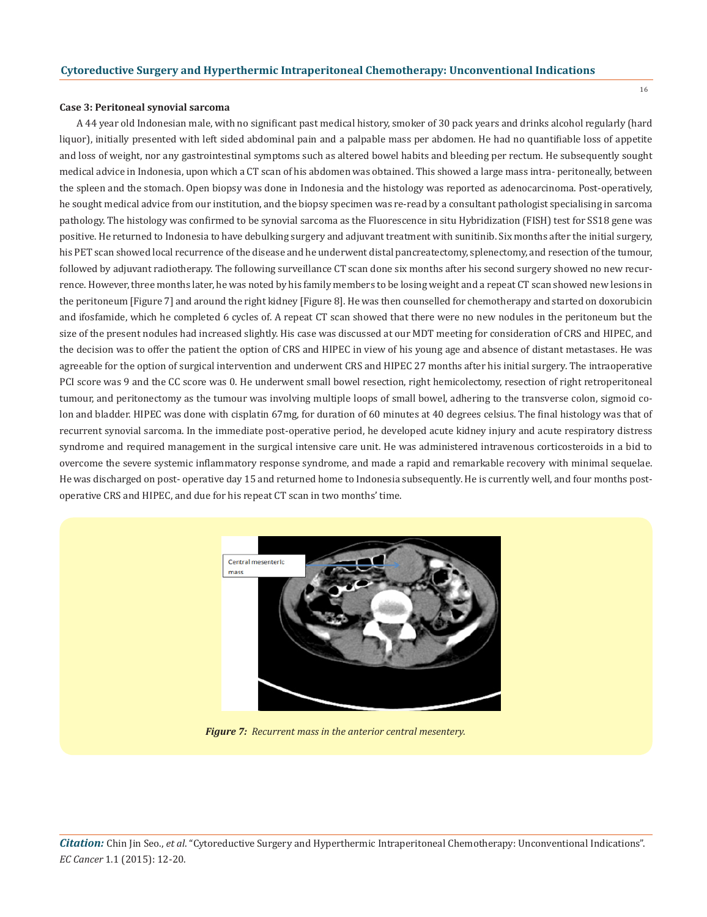#### **Case 3: Peritoneal synovial sarcoma**

A 44 year old Indonesian male, with no significant past medical history, smoker of 30 pack years and drinks alcohol regularly (hard liquor), initially presented with left sided abdominal pain and a palpable mass per abdomen. He had no quantifiable loss of appetite and loss of weight, nor any gastrointestinal symptoms such as altered bowel habits and bleeding per rectum. He subsequently sought medical advice in Indonesia, upon which a CT scan of his abdomen was obtained. This showed a large mass intra- peritoneally, between the spleen and the stomach. Open biopsy was done in Indonesia and the histology was reported as adenocarcinoma. Post-operatively, he sought medical advice from our institution, and the biopsy specimen was re-read by a consultant pathologist specialising in sarcoma pathology. The histology was confirmed to be synovial sarcoma as the Fluorescence in situ Hybridization (FISH) test for SS18 gene was positive. He returned to Indonesia to have debulking surgery and adjuvant treatment with sunitinib. Six months after the initial surgery, his PET scan showed local recurrence of the disease and he underwent distal pancreatectomy, splenectomy, and resection of the tumour, followed by adjuvant radiotherapy. The following surveillance CT scan done six months after his second surgery showed no new recurrence. However, three months later, he was noted by his family members to be losing weight and a repeat CT scan showed new lesions in the peritoneum [Figure 7] and around the right kidney [Figure 8]. He was then counselled for chemotherapy and started on doxorubicin and ifosfamide, which he completed 6 cycles of. A repeat CT scan showed that there were no new nodules in the peritoneum but the size of the present nodules had increased slightly. His case was discussed at our MDT meeting for consideration of CRS and HIPEC, and the decision was to offer the patient the option of CRS and HIPEC in view of his young age and absence of distant metastases. He was agreeable for the option of surgical intervention and underwent CRS and HIPEC 27 months after his initial surgery. The intraoperative PCI score was 9 and the CC score was 0. He underwent small bowel resection, right hemicolectomy, resection of right retroperitoneal tumour, and peritonectomy as the tumour was involving multiple loops of small bowel, adhering to the transverse colon, sigmoid colon and bladder. HIPEC was done with cisplatin 67mg, for duration of 60 minutes at 40 degrees celsius. The final histology was that of recurrent synovial sarcoma. In the immediate post-operative period, he developed acute kidney injury and acute respiratory distress syndrome and required management in the surgical intensive care unit. He was administered intravenous corticosteroids in a bid to overcome the severe systemic inflammatory response syndrome, and made a rapid and remarkable recovery with minimal sequelae. He was discharged on post- operative day 15 and returned home to Indonesia subsequently. He is currently well, and four months postoperative CRS and HIPEC, and due for his repeat CT scan in two months' time.



*Figure 7: Recurrent mass in the anterior central mesentery.*

16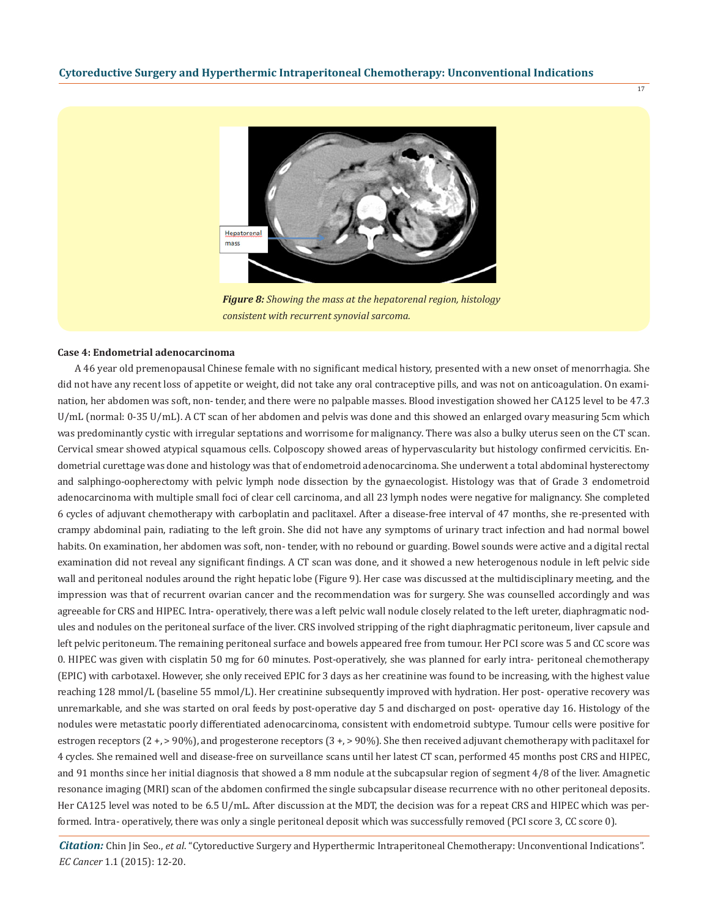

*Figure 8: Showing the mass at the hepatorenal region, histology consistent with recurrent synovial sarcoma.*

#### **Case 4: Endometrial adenocarcinoma**

A 46 year old premenopausal Chinese female with no significant medical history, presented with a new onset of menorrhagia. She did not have any recent loss of appetite or weight, did not take any oral contraceptive pills, and was not on anticoagulation. On examination, her abdomen was soft, non- tender, and there were no palpable masses. Blood investigation showed her CA125 level to be 47.3 U/mL (normal: 0-35 U/mL). A CT scan of her abdomen and pelvis was done and this showed an enlarged ovary measuring 5cm which was predominantly cystic with irregular septations and worrisome for malignancy. There was also a bulky uterus seen on the CT scan. Cervical smear showed atypical squamous cells. Colposcopy showed areas of hypervascularity but histology confirmed cervicitis. Endometrial curettage was done and histology was that of endometroid adenocarcinoma. She underwent a total abdominal hysterectomy and salphingo-oopherectomy with pelvic lymph node dissection by the gynaecologist. Histology was that of Grade 3 endometroid adenocarcinoma with multiple small foci of clear cell carcinoma, and all 23 lymph nodes were negative for malignancy. She completed 6 cycles of adjuvant chemotherapy with carboplatin and paclitaxel. After a disease-free interval of 47 months, she re-presented with crampy abdominal pain, radiating to the left groin. She did not have any symptoms of urinary tract infection and had normal bowel habits. On examination, her abdomen was soft, non- tender, with no rebound or guarding. Bowel sounds were active and a digital rectal examination did not reveal any significant findings. A CT scan was done, and it showed a new heterogenous nodule in left pelvic side wall and peritoneal nodules around the right hepatic lobe (Figure 9). Her case was discussed at the multidisciplinary meeting, and the impression was that of recurrent ovarian cancer and the recommendation was for surgery. She was counselled accordingly and was agreeable for CRS and HIPEC. Intra- operatively, there was a left pelvic wall nodule closely related to the left ureter, diaphragmatic nodules and nodules on the peritoneal surface of the liver. CRS involved stripping of the right diaphragmatic peritoneum, liver capsule and left pelvic peritoneum. The remaining peritoneal surface and bowels appeared free from tumour. Her PCI score was 5 and CC score was 0. HIPEC was given with cisplatin 50 mg for 60 minutes. Post-operatively, she was planned for early intra- peritoneal chemotherapy (EPIC) with carbotaxel. However, she only received EPIC for 3 days as her creatinine was found to be increasing, with the highest value reaching 128 mmol/L (baseline 55 mmol/L). Her creatinine subsequently improved with hydration. Her post- operative recovery was unremarkable, and she was started on oral feeds by post-operative day 5 and discharged on post- operative day 16. Histology of the nodules were metastatic poorly differentiated adenocarcinoma, consistent with endometroid subtype. Tumour cells were positive for estrogen receptors (2 +, > 90%), and progesterone receptors (3 +, > 90%). She then received adjuvant chemotherapy with paclitaxel for 4 cycles. She remained well and disease-free on surveillance scans until her latest CT scan, performed 45 months post CRS and HIPEC, and 91 months since her initial diagnosis that showed a 8 mm nodule at the subcapsular region of segment 4/8 of the liver. Amagnetic resonance imaging (MRI) scan of the abdomen confirmed the single subcapsular disease recurrence with no other peritoneal deposits. Her CA125 level was noted to be 6.5 U/mL. After discussion at the MDT, the decision was for a repeat CRS and HIPEC which was performed. Intra- operatively, there was only a single peritoneal deposit which was successfully removed (PCI score 3, CC score 0).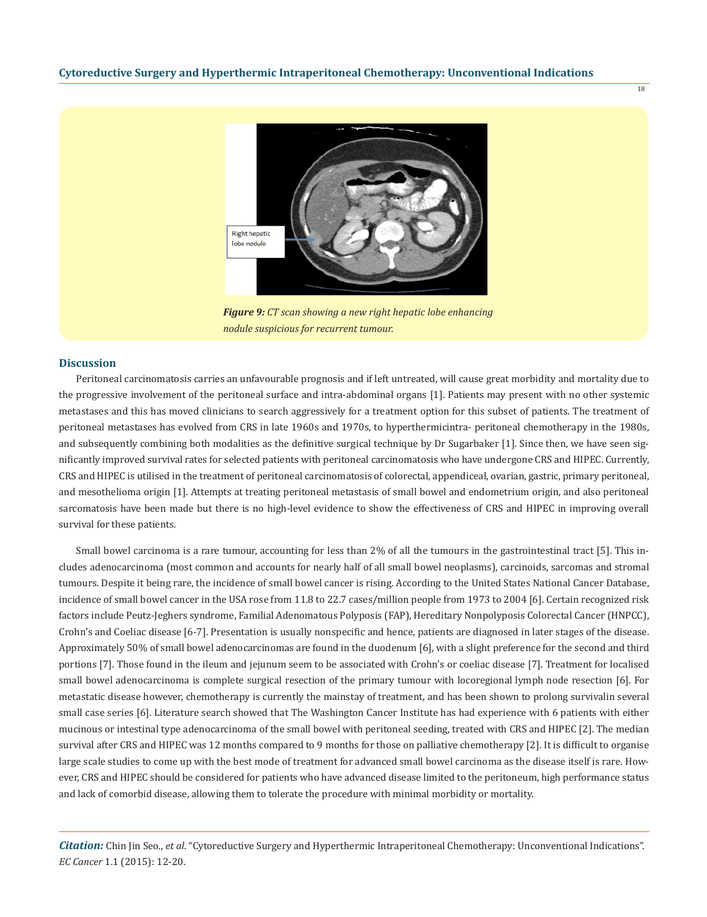

*Figure 9: CT scan showing a new right hepatic lobe enhancing nodule suspicious for recurrent tumour.*

#### **Discussion**

Peritoneal carcinomatosis carries an unfavourable prognosis and if left untreated, will cause great morbidity and mortality due to the progressive involvement of the peritoneal surface and intra-abdominal organs [1]. Patients may present with no other systemic metastases and this has moved clinicians to search aggressively for a treatment option for this subset of patients. The treatment of peritoneal metastases has evolved from CRS in late 1960s and 1970s, to hyperthermicintra- peritoneal chemotherapy in the 1980s, and subsequently combining both modalities as the definitive surgical technique by Dr Sugarbaker [1]. Since then, we have seen significantly improved survival rates for selected patients with peritoneal carcinomatosis who have undergone CRS and HIPEC. Currently, CRS and HIPEC is utilised in the treatment of peritoneal carcinomatosis of colorectal, appendiceal, ovarian, gastric, primary peritoneal, and mesothelioma origin [1]. Attempts at treating peritoneal metastasis of small bowel and endometrium origin, and also peritoneal sarcomatosis have been made but there is no high-level evidence to show the effectiveness of CRS and HIPEC in improving overall survival for these patients.

Small bowel carcinoma is a rare tumour, accounting for less than 2% of all the tumours in the gastrointestinal tract [5]. This includes adenocarcinoma (most common and accounts for nearly half of all small bowel neoplasms), carcinoids, sarcomas and stromal tumours. Despite it being rare, the incidence of small bowel cancer is rising. According to the United States National Cancer Database, incidence of small bowel cancer in the USA rose from 11.8 to 22.7 cases/million people from 1973 to 2004 [6]. Certain recognized risk factors include Peutz-Jeghers syndrome, Familial Adenomatous Polyposis (FAP), Hereditary Nonpolyposis Colorectal Cancer (HNPCC), Crohn's and Coeliac disease [6-7]. Presentation is usually nonspecific and hence, patients are diagnosed in later stages of the disease. Approximately 50% of small bowel adenocarcinomas are found in the duodenum [6], with a slight preference for the second and third portions [7]. Those found in the ileum and jejunum seem to be associated with Crohn's or coeliac disease [7]. Treatment for localised small bowel adenocarcinoma is complete surgical resection of the primary tumour with locoregional lymph node resection [6]. For metastatic disease however, chemotherapy is currently the mainstay of treatment, and has been shown to prolong survivalin several small case series [6]. Literature search showed that The Washington Cancer Institute has had experience with 6 patients with either mucinous or intestinal type adenocarcinoma of the small bowel with peritoneal seeding, treated with CRS and HIPEC [2]. The median survival after CRS and HIPEC was 12 months compared to 9 months for those on palliative chemotherapy [2]. It is difficult to organise large scale studies to come up with the best mode of treatment for advanced small bowel carcinoma as the disease itself is rare. However, CRS and HIPEC should be considered for patients who have advanced disease limited to the peritoneum, high performance status and lack of comorbid disease, allowing them to tolerate the procedure with minimal morbidity or mortality.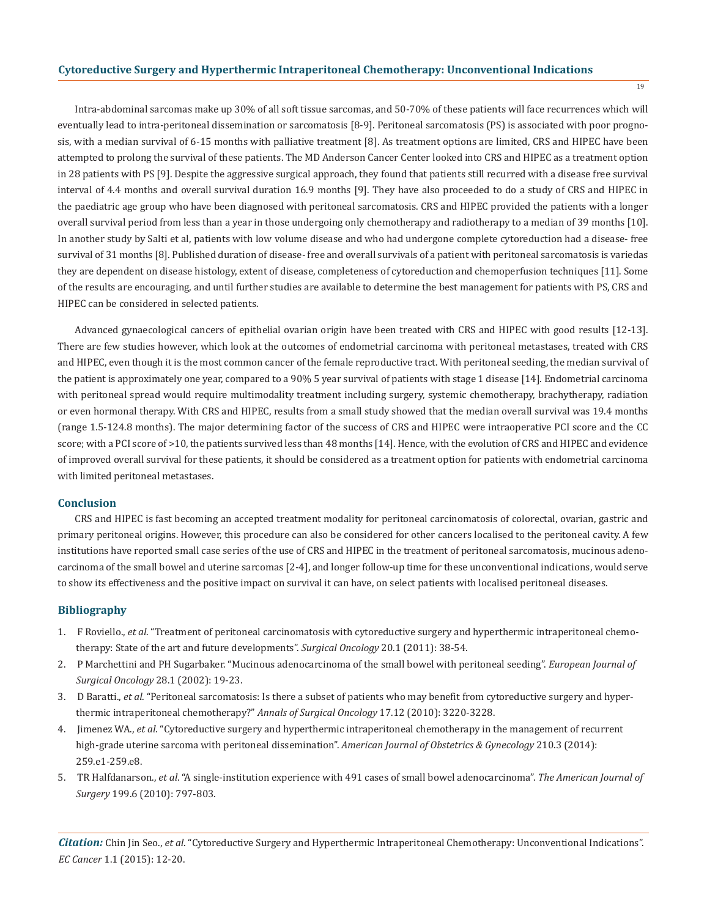Intra-abdominal sarcomas make up 30% of all soft tissue sarcomas, and 50-70% of these patients will face recurrences which will eventually lead to intra-peritoneal dissemination or sarcomatosis [8-9]. Peritoneal sarcomatosis (PS) is associated with poor prognosis, with a median survival of 6-15 months with palliative treatment [8]. As treatment options are limited, CRS and HIPEC have been attempted to prolong the survival of these patients. The MD Anderson Cancer Center looked into CRS and HIPEC as a treatment option in 28 patients with PS [9]. Despite the aggressive surgical approach, they found that patients still recurred with a disease free survival interval of 4.4 months and overall survival duration 16.9 months [9]. They have also proceeded to do a study of CRS and HIPEC in the paediatric age group who have been diagnosed with peritoneal sarcomatosis. CRS and HIPEC provided the patients with a longer overall survival period from less than a year in those undergoing only chemotherapy and radiotherapy to a median of 39 months [10]. In another study by Salti et al, patients with low volume disease and who had undergone complete cytoreduction had a disease- free survival of 31 months [8]. Published duration of disease- free and overall survivals of a patient with peritoneal sarcomatosis is variedas they are dependent on disease histology, extent of disease, completeness of cytoreduction and chemoperfusion techniques [11]. Some of the results are encouraging, and until further studies are available to determine the best management for patients with PS, CRS and HIPEC can be considered in selected patients.

Advanced gynaecological cancers of epithelial ovarian origin have been treated with CRS and HIPEC with good results [12-13]. There are few studies however, which look at the outcomes of endometrial carcinoma with peritoneal metastases, treated with CRS and HIPEC, even though it is the most common cancer of the female reproductive tract. With peritoneal seeding, the median survival of the patient is approximately one year, compared to a 90% 5 year survival of patients with stage 1 disease [14]. Endometrial carcinoma with peritoneal spread would require multimodality treatment including surgery, systemic chemotherapy, brachytherapy, radiation or even hormonal therapy. With CRS and HIPEC, results from a small study showed that the median overall survival was 19.4 months (range 1.5-124.8 months). The major determining factor of the success of CRS and HIPEC were intraoperative PCI score and the CC score; with a PCI score of >10, the patients survived less than 48 months [14]. Hence, with the evolution of CRS and HIPEC and evidence of improved overall survival for these patients, it should be considered as a treatment option for patients with endometrial carcinoma with limited peritoneal metastases.

## **Conclusion**

CRS and HIPEC is fast becoming an accepted treatment modality for peritoneal carcinomatosis of colorectal, ovarian, gastric and primary peritoneal origins. However, this procedure can also be considered for other cancers localised to the peritoneal cavity. A few institutions have reported small case series of the use of CRS and HIPEC in the treatment of peritoneal sarcomatosis, mucinous adenocarcinoma of the small bowel and uterine sarcomas [2-4], and longer follow-up time for these unconventional indications, would serve to show its effectiveness and the positive impact on survival it can have, on select patients with localised peritoneal diseases.

## **Bibliography**

- 1. F Roviello., *et al*. "Treatment of peritoneal carcinomatosis with cytoreductive surgery and hyperthermic intraperitoneal chemo therapy: State of the art and future developments". *Surgical Oncology* 20.1 (2011): 38-54.
- 2. P Marchettini and PH Sugarbaker. "Mucinous adenocarcinoma of the small bowel with peritoneal seeding". *European Journal of Surgical Oncology* 28.1 (2002): 19-23.
- 3. D Baratti., *et al*. "Peritoneal sarcomatosis: Is there a subset of patients who may benefit from cytoreductive surgery and hyper thermic intraperitoneal chemotherapy?" *Annals of Surgical Oncology* 17.12 (2010): 3220-3228.
- 4. Jimenez WA., *et al*. "Cytoreductive surgery and hyperthermic intraperitoneal chemotherapy in the management of recurrent high-grade uterine sarcoma with peritoneal dissemination". *American Journal of Obstetrics & Gynecology* 210.3 (2014): 259.e1-259.e8.
- 5. TR Halfdanarson., *et al*. "A single-institution experience with 491 cases of small bowel adenocarcinoma". *The American Journal of Surgery* 199.6 (2010): 797-803.